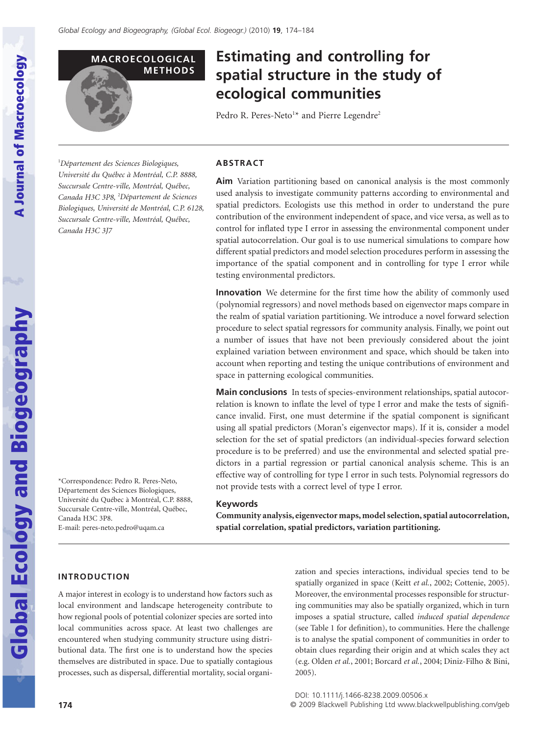

# **Estimating and controlling for spatial structure in the study of ecological communities**

Pedro R. Peres-Neto<sup>1\*</sup> and Pierre Legendre<sup>2</sup>

1 *Département des Sciences Biologiques, Université du Québec à Montréal, C.P. 8888, Succursale Centre-ville, Montréal, Québec, Canada H3C 3P8,* <sup>2</sup> *Département de Sciences Biologiques, Université de Montréal, C.P. 6128, Succursale Centre-ville, Montréal, Québec, Canada H3C 3J7*

#### **ABSTRACT**

**Aim** Variation partitioning based on canonical analysis is the most commonly used analysis to investigate community patterns according to environmental and spatial predictors. Ecologists use this method in order to understand the pure contribution of the environment independent of space, and vice versa, as well as to control for inflated type I error in assessing the environmental component under spatial autocorrelation. Our goal is to use numerical simulations to compare how different spatial predictors and model selection procedures perform in assessing the importance of the spatial component and in controlling for type I error while testing environmental predictors.

**Innovation** We determine for the first time how the ability of commonly used (polynomial regressors) and novel methods based on eigenvector maps compare in the realm of spatial variation partitioning. We introduce a novel forward selection procedure to select spatial regressors for community analysis. Finally, we point out a number of issues that have not been previously considered about the joint explained variation between environment and space, which should be taken into account when reporting and testing the unique contributions of environment and space in patterning ecological communities.

**Main conclusions** In tests of species-environment relationships, spatial autocorrelation is known to inflate the level of type I error and make the tests of significance invalid. First, one must determine if the spatial component is significant using all spatial predictors (Moran's eigenvector maps). If it is, consider a model selection for the set of spatial predictors (an individual-species forward selection procedure is to be preferred) and use the environmental and selected spatial predictors in a partial regression or partial canonical analysis scheme. This is an effective way of controlling for type I error in such tests. Polynomial regressors do not provide tests with a correct level of type I error.

#### **Keywords**

**Community analysis, eigenvector maps,model selection, spatial autocorrelation, spatial correlation, spatial predictors, variation partitioning.**

\*Correspondence: Pedro R. Peres-Neto, Département des Sciences Biologiques, Université du Québec à Montréal, C.P. 8888, Succursale Centre-ville, Montréal, Québec, Canada H3C 3P8. E-mail: peres-neto.pedro@uqam.ca

**INTRODUCTION**

A major interest in ecology is to understand how factors such as local environment and landscape heterogeneity contribute to how regional pools of potential colonizer species are sorted into local communities across space. At least two challenges are encountered when studying community structure using distributional data. The first one is to understand how the species themselves are distributed in space. Due to spatially contagious processes, such as dispersal, differential mortality, social organization and species interactions, individual species tend to be spatially organized in space (Keitt *et al.*, 2002; Cottenie, 2005). Moreover, the environmental processes responsible for structuring communities may also be spatially organized, which in turn imposes a spatial structure, called *induced spatial dependence* (see Table 1 for definition), to communities. Here the challenge is to analyse the spatial component of communities in order to obtain clues regarding their origin and at which scales they act (e.g. Olden *et al.*, 2001; Borcard *et al.*, 2004; Diniz-Filho & Bini, 2005).

DOI: 10.1111/j.1466-8238.2009.00506.x **174 174 174 174 174 174 174 175 18 1 176 12009** Blackwell Publishing Ltd www.blackwellpublishing.com/geb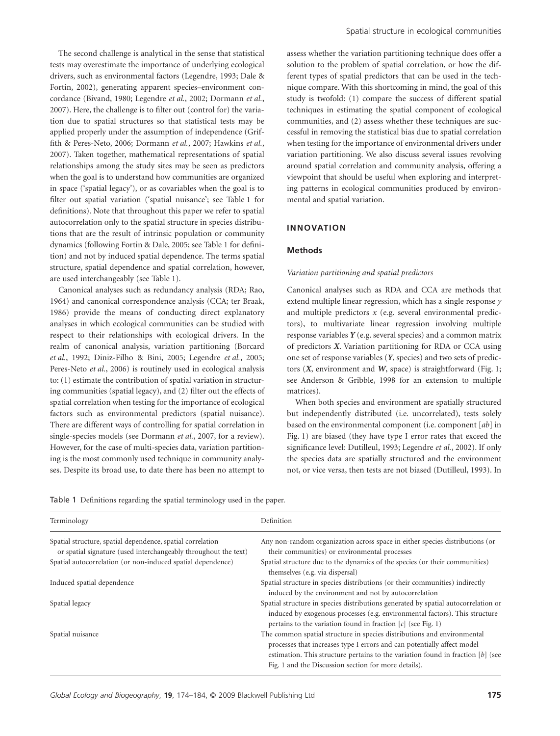The second challenge is analytical in the sense that statistical tests may overestimate the importance of underlying ecological drivers, such as environmental factors (Legendre, 1993; Dale & Fortin, 2002), generating apparent species–environment concordance (Bivand, 1980; Legendre *et al.*, 2002; Dormann *et al.*, 2007). Here, the challenge is to filter out (control for) the variation due to spatial structures so that statistical tests may be applied properly under the assumption of independence (Griffith & Peres-Neto, 2006; Dormann *et al.*, 2007; Hawkins *et al.*, 2007). Taken together, mathematical representations of spatial relationships among the study sites may be seen as predictors when the goal is to understand how communities are organized in space ('spatial legacy'), or as covariables when the goal is to filter out spatial variation ('spatial nuisance'; see Table 1 for definitions). Note that throughout this paper we refer to spatial autocorrelation only to the spatial structure in species distributions that are the result of intrinsic population or community dynamics (following Fortin & Dale, 2005; see Table 1 for definition) and not by induced spatial dependence. The terms spatial structure, spatial dependence and spatial correlation, however, are used interchangeably (see Table 1).

Canonical analyses such as redundancy analysis (RDA; Rao, 1964) and canonical correspondence analysis (CCA; ter Braak, 1986) provide the means of conducting direct explanatory analyses in which ecological communities can be studied with respect to their relationships with ecological drivers. In the realm of canonical analysis, variation partitioning (Borcard *et al.*, 1992; Diniz-Filho & Bini, 2005; Legendre *et al.*, 2005; Peres-Neto *et al.*, 2006) is routinely used in ecological analysis to: (1) estimate the contribution of spatial variation in structuring communities (spatial legacy), and (2) filter out the effects of spatial correlation when testing for the importance of ecological factors such as environmental predictors (spatial nuisance). There are different ways of controlling for spatial correlation in single-species models (see Dormann *et al.*, 2007, for a review). However, for the case of multi-species data, variation partitioning is the most commonly used technique in community analyses. Despite its broad use, to date there has been no attempt to assess whether the variation partitioning technique does offer a solution to the problem of spatial correlation, or how the different types of spatial predictors that can be used in the technique compare. With this shortcoming in mind, the goal of this study is twofold: (1) compare the success of different spatial techniques in estimating the spatial component of ecological communities, and (2) assess whether these techniques are successful in removing the statistical bias due to spatial correlation when testing for the importance of environmental drivers under variation partitioning. We also discuss several issues revolving around spatial correlation and community analysis, offering a viewpoint that should be useful when exploring and interpreting patterns in ecological communities produced by environmental and spatial variation.

## **INNOVATION**

#### **Methods**

#### *Variation partitioning and spatial predictors*

Canonical analyses such as RDA and CCA are methods that extend multiple linear regression, which has a single response *y* and multiple predictors *x* (e.g. several environmental predictors), to multivariate linear regression involving multiple response variables *Y* (e.g. several species) and a common matrix of predictors *X*. Variation partitioning for RDA or CCA using one set of response variables (*Y*, species) and two sets of predictors (*X*, environment and *W*, space) is straightforward (Fig. 1; see Anderson & Gribble, 1998 for an extension to multiple matrices).

When both species and environment are spatially structured but independently distributed (i.e. uncorrelated), tests solely based on the environmental component (i.e. component [*ab*] in Fig. 1) are biased (they have type I error rates that exceed the significance level: Dutilleul, 1993; Legendre *et al.*, 2002). If only the species data are spatially structured and the environment not, or vice versa, then tests are not biased (Dutilleul, 1993). In

|  |  |  |  | Table 1 Definitions regarding the spatial terminology used in the paper |  |  |
|--|--|--|--|-------------------------------------------------------------------------|--|--|
|--|--|--|--|-------------------------------------------------------------------------|--|--|

| Terminology                                                                                                                   | Definition                                                                                                                                                                                                                                                                                      |
|-------------------------------------------------------------------------------------------------------------------------------|-------------------------------------------------------------------------------------------------------------------------------------------------------------------------------------------------------------------------------------------------------------------------------------------------|
| Spatial structure, spatial dependence, spatial correlation<br>or spatial signature (used interchangeably throughout the text) | Any non-random organization across space in either species distributions (or<br>their communities) or environmental processes                                                                                                                                                                   |
| Spatial autocorrelation (or non-induced spatial dependence)                                                                   | Spatial structure due to the dynamics of the species (or their communities)<br>themselves (e.g. via dispersal)                                                                                                                                                                                  |
| Induced spatial dependence                                                                                                    | Spatial structure in species distributions (or their communities) indirectly<br>induced by the environment and not by autocorrelation                                                                                                                                                           |
| Spatial legacy                                                                                                                | Spatial structure in species distributions generated by spatial autocorrelation or<br>induced by exogenous processes (e.g. environmental factors). This structure<br>pertains to the variation found in fraction $[c]$ (see Fig. 1)                                                             |
| Spatial nuisance                                                                                                              | The common spatial structure in species distributions and environmental<br>processes that increases type I errors and can potentially affect model<br>estimation. This structure pertains to the variation found in fraction $[b]$ (see<br>Fig. 1 and the Discussion section for more details). |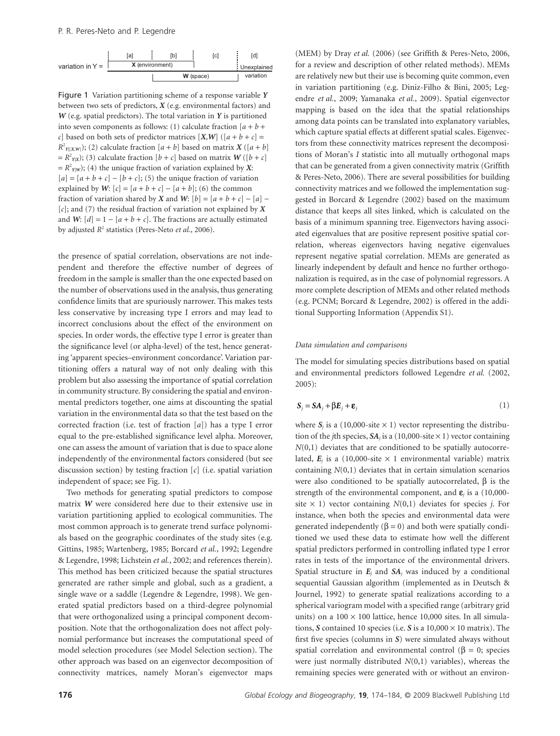

Figure 1 Variation partitioning scheme of a response variable *Y* between two sets of predictors, *X* (e.g. environmental factors) and *W* (e.g. spatial predictors). The total variation in *Y* is partitioned into seven components as follows: (1) calculate fraction  $[a + b +$ *c*] based on both sets of predictor matrices  $[X, W]$  ( $[a + b + c] =$  $R^2$ <sub>*Y*|(*X*,*W*<sub>1</sub>); (2) calculate fraction [*a* + *b*] based on matrix *X* ([*a* + *b*]</sub>  $= R^2$ <sub>*Y*|*X*</sub>); (3) calculate fraction  $[b + c]$  based on matrix *W* ( $[b + c]$  $=R^2_{\gamma|W}$ ; (4) the unique fraction of variation explained by *X*:  $[a] = [a + b + c] - [b + c]$ ; (5) the unique fraction of variation explained by *W*:  $[c] = [a + b + c] - [a + b]$ ; (6) the common fraction of variation shared by *X* and *W*:  $[b] = [a + b + c] - [a]$ [*c*]; and (7) the residual fraction of variation not explained by *X* and *W*:  $[d] = 1 - [a + b + c]$ . The fractions are actually estimated by adjusted *R*<sup>2</sup> statistics (Peres-Neto *et al.*, 2006).

the presence of spatial correlation, observations are not independent and therefore the effective number of degrees of freedom in the sample is smaller than the one expected based on the number of observations used in the analysis, thus generating confidence limits that are spuriously narrower. This makes tests less conservative by increasing type I errors and may lead to incorrect conclusions about the effect of the environment on species. In order words, the effective type I error is greater than the significance level (or alpha-level) of the test, hence generating 'apparent species–environment concordance'. Variation partitioning offers a natural way of not only dealing with this problem but also assessing the importance of spatial correlation in community structure. By considering the spatial and environmental predictors together, one aims at discounting the spatial variation in the environmental data so that the test based on the corrected fraction (i.e. test of fraction [*a*]) has a type I error equal to the pre-established significance level alpha. Moreover, one can assess the amount of variation that is due to space alone independently of the environmental factors considered (but see discussion section) by testing fraction [*c*] (i.e. spatial variation independent of space; see Fig. 1).

Two methods for generating spatial predictors to compose matrix *W* were considered here due to their extensive use in variation partitioning applied to ecological communities. The most common approach is to generate trend surface polynomials based on the geographic coordinates of the study sites (e.g. Gittins, 1985; Wartenberg, 1985; Borcard *et al.*, 1992; Legendre & Legendre, 1998; Lichstein *et al.*, 2002; and references therein). This method has been criticized because the spatial structures generated are rather simple and global, such as a gradient, a single wave or a saddle (Legendre & Legendre, 1998). We generated spatial predictors based on a third-degree polynomial that were orthogonalized using a principal component decomposition. Note that the orthogonalization does not affect polynomial performance but increases the computational speed of model selection procedures (see Model Selection section). The other approach was based on an eigenvector decomposition of connectivity matrices, namely Moran's eigenvector maps (MEM) by Dray *et al.* (2006) (see Griffith & Peres-Neto, 2006, for a review and description of other related methods). MEMs are relatively new but their use is becoming quite common, even in variation partitioning (e.g. Diniz-Filho & Bini, 2005; Legendre *et al.*, 2009; Yamanaka *et al.*, 2009). Spatial eigenvector mapping is based on the idea that the spatial relationships among data points can be translated into explanatory variables, which capture spatial effects at different spatial scales. Eigenvectors from these connectivity matrices represent the decompositions of Moran's *I* statistic into all mutually orthogonal maps that can be generated from a given connectivity matrix (Griffith & Peres-Neto, 2006). There are several possibilities for building connectivity matrices and we followed the implementation suggested in Borcard & Legendre (2002) based on the maximum distance that keeps all sites linked, which is calculated on the basis of a minimum spanning tree. Eigenvectors having associated eigenvalues that are positive represent positive spatial correlation, whereas eigenvectors having negative eigenvalues represent negative spatial correlation. MEMs are generated as linearly independent by default and hence no further orthogonalization is required, as in the case of polynomial regressors. A more complete description of MEMs and other related methods (e.g. PCNM; Borcard & Legendre, 2002) is offered in the additional Supporting Information (Appendix S1).

#### *Data simulation and comparisons*

The model for simulating species distributions based on spatial and environmental predictors followed Legendre *et al.* (2002, 2005):

$$
S_j = SA_j + \beta E_j + \varepsilon_j \tag{1}
$$

where  $S_i$  is a (10,000-site  $\times$  1) vector representing the distribution of the *j*th species,  $SA_i$  is a (10,000-site  $\times$  1) vector containing *N*(0,1) deviates that are conditioned to be spatially autocorrelated,  $E_i$  is a (10,000-site  $\times$  1 environmental variable) matrix containing *N*(0,1) deviates that in certain simulation scenarios were also conditioned to be spatially autocorrelated,  $\beta$  is the strength of the environmental component, and  $\epsilon_i$  is a (10,000site  $\times$  1) vector containing *N*(0,1) deviates for species *j*. For instance, when both the species and environmental data were generated independently  $(\beta = 0)$  and both were spatially conditioned we used these data to estimate how well the different spatial predictors performed in controlling inflated type I error rates in tests of the importance of the environmental drivers. Spatial structure in  $E_i$  and  $SA_i$  was induced by a conditional sequential Gaussian algorithm (implemented as in Deutsch & Journel, 1992) to generate spatial realizations according to a spherical variogram model with a specified range (arbitrary grid units) on a  $100 \times 100$  lattice, hence 10,000 sites. In all simulations, *S* contained 10 species (i.e. *S* is a  $10,000 \times 10$  matrix). The first five species (columns in *S*) were simulated always without spatial correlation and environmental control ( $\beta = 0$ ; species were just normally distributed *N*(0,1) variables), whereas the remaining species were generated with or without an environ-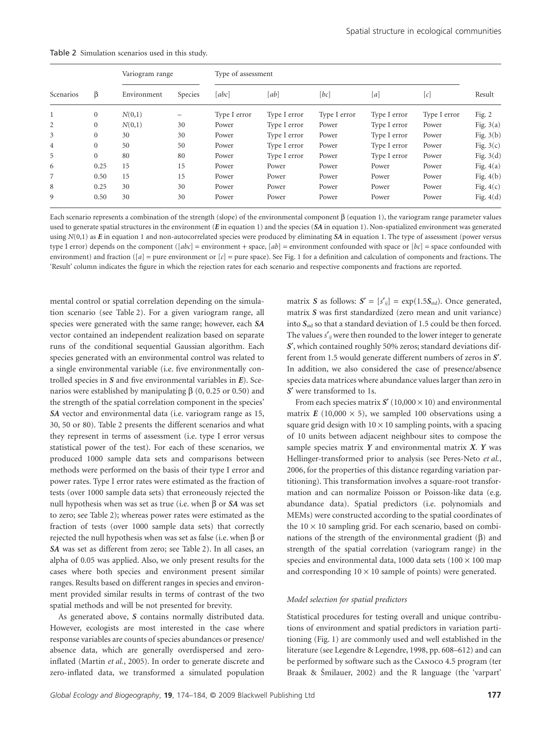| Table 2 Simulation scenarios used in this study. |  |
|--------------------------------------------------|--|
|--------------------------------------------------|--|

| Scenarios      | β            | Variogram range |         | Type of assessment |              |              |              |                                                                                                                                                                                                                                                                                                                                                                                                                                                                                                                                                                                                                                        |             |
|----------------|--------------|-----------------|---------|--------------------|--------------|--------------|--------------|----------------------------------------------------------------------------------------------------------------------------------------------------------------------------------------------------------------------------------------------------------------------------------------------------------------------------------------------------------------------------------------------------------------------------------------------------------------------------------------------------------------------------------------------------------------------------------------------------------------------------------------|-------------|
|                |              | Environment     | Species | [abc]              | [ab]         | [bc]         | [a]          | $[c]% \centering \includegraphics[width=0.9\columnwidth]{figures/fig_10.pdf} \caption{The graph $\alpha$ in the case of $z$ in the case of $z$ in the case of $z$ in the case of $z$ in the case of $z$ in the case of $z$ in the case of $z$ in the case of $z$ in the case of $z$ in the case of $z$ in the case of $z$ in the case of $z$ in the case of $z$ in the case of $z$ in the case of $z$ in the case of $z$ in the case of $z$ in the case of $z$ in the case of $z$ in the case of $z$ in the case of $z$ in the case of $z$ in the case of $z$ in the case of $z$ in the case of $z$ in the case of $z$ in the case of$ | Result      |
|                | $\mathbf{0}$ | N(0,1)          | -       | Type I error       | Type I error | Type I error | Type I error | Type I error                                                                                                                                                                                                                                                                                                                                                                                                                                                                                                                                                                                                                           | Fig. $2$    |
| $\overline{2}$ | $\mathbf{0}$ | N(0,1)          | 30      | Power              | Type I error | Power        | Type I error | Power                                                                                                                                                                                                                                                                                                                                                                                                                                                                                                                                                                                                                                  | Fig. $3(a)$ |
| 3              | $\mathbf{0}$ | 30              | 30      | Power              | Type I error | Power        | Type I error | Power                                                                                                                                                                                                                                                                                                                                                                                                                                                                                                                                                                                                                                  | Fig. $3(b)$ |
| 4              | $\Omega$     | 50              | 50      | Power              | Type I error | Power        | Type I error | Power                                                                                                                                                                                                                                                                                                                                                                                                                                                                                                                                                                                                                                  | Fig. $3(c)$ |
| 5              | $\Omega$     | 80              | 80      | Power              | Type I error | Power        | Type I error | Power                                                                                                                                                                                                                                                                                                                                                                                                                                                                                                                                                                                                                                  | Fig. $3(d)$ |
| 6              | 0.25         | 15              | 15      | Power              | Power        | Power        | Power        | Power                                                                                                                                                                                                                                                                                                                                                                                                                                                                                                                                                                                                                                  | Fig. $4(a)$ |
| 7              | 0.50         | 15              | 15      | Power              | Power        | Power        | Power        | Power                                                                                                                                                                                                                                                                                                                                                                                                                                                                                                                                                                                                                                  | Fig. $4(b)$ |
| 8              | 0.25         | 30              | 30      | Power              | Power        | Power        | Power        | Power                                                                                                                                                                                                                                                                                                                                                                                                                                                                                                                                                                                                                                  | Fig. $4(c)$ |
| 9              | 0.50         | 30              | 30      | Power              | Power        | Power        | Power        | Power                                                                                                                                                                                                                                                                                                                                                                                                                                                                                                                                                                                                                                  | Fig. $4(d)$ |

Each scenario represents a combination of the strength (slope) of the environmental component  $\beta$  (equation 1), the variogram range parameter values used to generate spatial structures in the environment (*E* in equation 1) and the species (*SA* in equation 1). Non-spatialized environment was generated using *N*(0,1) as *E* in equation 1 and non-autocorrelated species were produced by eliminating *SA* in equation 1. The type of assessment (power versus type I error) depends on the component ([*abc*] = environment + space, [*ab*] = environment confounded with space or [*bc*] = space confounded with environment) and fraction ( $[a]$  = pure environment or  $[c]$  = pure space). See Fig. 1 for a definition and calculation of components and fractions. The 'Result' column indicates the figure in which the rejection rates for each scenario and respective components and fractions are reported.

mental control or spatial correlation depending on the simulation scenario (see Table 2). For a given variogram range, all species were generated with the same range; however, each *SA* vector contained an independent realization based on separate runs of the conditional sequential Gaussian algorithm. Each species generated with an environmental control was related to a single environmental variable (i.e. five environmentally controlled species in *S* and five environmental variables in *E*). Scenarios were established by manipulating  $\beta$  (0, 0.25 or 0.50) and the strength of the spatial correlation component in the species' *SA* vector and environmental data (i.e. variogram range as 15, 30, 50 or 80). Table 2 presents the different scenarios and what they represent in terms of assessment (i.e. type I error versus statistical power of the test). For each of these scenarios, we produced 1000 sample data sets and comparisons between methods were performed on the basis of their type I error and power rates. Type I error rates were estimated as the fraction of tests (over 1000 sample data sets) that erroneously rejected the null hypothesis when was set as true (i.e. when  $\beta$  or *SA* was set to zero; see Table 2); whereas power rates were estimated as the fraction of tests (over 1000 sample data sets) that correctly rejected the null hypothesis when was set as false (i.e. when  $\beta$  or *SA* was set as different from zero; see Table 2). In all cases, an alpha of 0.05 was applied. Also, we only present results for the cases where both species and environment present similar ranges. Results based on different ranges in species and environment provided similar results in terms of contrast of the two spatial methods and will be not presented for brevity.

As generated above, *S* contains normally distributed data. However, ecologists are most interested in the case where response variables are counts of species abundances or presence/ absence data, which are generally overdispersed and zeroinflated (Martin *et al.*, 2005). In order to generate discrete and zero-inflated data, we transformed a simulated population matrix *S* as follows:  $S' = [s'_{ij}] = \exp(1.5S_{std})$ . Once generated, matrix *S* was first standardized (zero mean and unit variance) into  $S_{std}$  so that a standard deviation of 1.5 could be then forced. The values *s*′*ij* were then rounded to the lower integer to generate *S*′, which contained roughly 50% zeros; standard deviations different from 1.5 would generate different numbers of zeros in *S*′. In addition, we also considered the case of presence/absence species data matrices where abundance values larger than zero in *S*′ were transformed to 1s.

From each species matrix  $S'(10,000 \times 10)$  and environmental matrix  $E(10,000 \times 5)$ , we sampled 100 observations using a square grid design with  $10 \times 10$  sampling points, with a spacing of 10 units between adjacent neighbour sites to compose the sample species matrix *Y* and environmental matrix *X*. *Y* was Hellinger-transformed prior to analysis (see Peres-Neto *et al.*, 2006, for the properties of this distance regarding variation partitioning). This transformation involves a square-root transformation and can normalize Poisson or Poisson-like data (e.g. abundance data). Spatial predictors (i.e. polynomials and MEMs) were constructed according to the spatial coordinates of the  $10 \times 10$  sampling grid. For each scenario, based on combinations of the strength of the environmental gradient  $(\beta)$  and strength of the spatial correlation (variogram range) in the species and environmental data, 1000 data sets  $(100 \times 100$  map and corresponding  $10 \times 10$  sample of points) were generated.

## *Model selection for spatial predictors*

Statistical procedures for testing overall and unique contributions of environment and spatial predictors in variation partitioning (Fig. 1) are commonly used and well established in the literature (see Legendre & Legendre, 1998, pp. 608–612) and can be performed by software such as the Canoco 4.5 program (ter Braak & Šmilauer, 2002) and the R language (the 'varpart'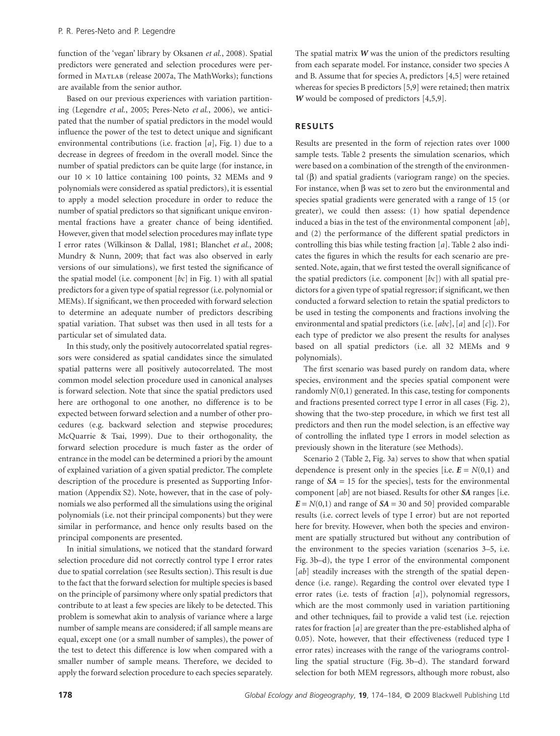function of the 'vegan' library by Oksanen *et al.*, 2008). Spatial predictors were generated and selection procedures were performed in Matlab (release 2007a, The MathWorks); functions are available from the senior author.

Based on our previous experiences with variation partitioning (Legendre *et al.*, 2005; Peres-Neto *et al.*, 2006), we anticipated that the number of spatial predictors in the model would influence the power of the test to detect unique and significant environmental contributions (i.e. fraction [*a*], Fig. 1) due to a decrease in degrees of freedom in the overall model. Since the number of spatial predictors can be quite large (for instance, in our  $10 \times 10$  lattice containing 100 points, 32 MEMs and 9 polynomials were considered as spatial predictors), it is essential to apply a model selection procedure in order to reduce the number of spatial predictors so that significant unique environmental fractions have a greater chance of being identified. However, given that model selection procedures may inflate type I error rates (Wilkinson & Dallal, 1981; Blanchet *et al.*, 2008; Mundry & Nunn, 2009; that fact was also observed in early versions of our simulations), we first tested the significance of the spatial model (i.e. component [*bc*] in Fig. 1) with all spatial predictors for a given type of spatial regressor (i.e. polynomial or MEMs). If significant, we then proceeded with forward selection to determine an adequate number of predictors describing spatial variation. That subset was then used in all tests for a particular set of simulated data.

In this study, only the positively autocorrelated spatial regressors were considered as spatial candidates since the simulated spatial patterns were all positively autocorrelated. The most common model selection procedure used in canonical analyses is forward selection. Note that since the spatial predictors used here are orthogonal to one another, no difference is to be expected between forward selection and a number of other procedures (e.g. backward selection and stepwise procedures; McQuarrie & Tsai, 1999). Due to their orthogonality, the forward selection procedure is much faster as the order of entrance in the model can be determined a priori by the amount of explained variation of a given spatial predictor. The complete description of the procedure is presented as Supporting Information (Appendix S2). Note, however, that in the case of polynomials we also performed all the simulations using the original polynomials (i.e. not their principal components) but they were similar in performance, and hence only results based on the principal components are presented.

In initial simulations, we noticed that the standard forward selection procedure did not correctly control type I error rates due to spatial correlation (see Results section). This result is due to the fact that the forward selection for multiple species is based on the principle of parsimony where only spatial predictors that contribute to at least a few species are likely to be detected. This problem is somewhat akin to analysis of variance where a large number of sample means are considered; if all sample means are equal, except one (or a small number of samples), the power of the test to detect this difference is low when compared with a smaller number of sample means. Therefore, we decided to apply the forward selection procedure to each species separately. The spatial matrix *W* was the union of the predictors resulting from each separate model. For instance, consider two species A and B. Assume that for species A, predictors [4,5] were retained whereas for species B predictors [5,9] were retained; then matrix *W* would be composed of predictors [4,5,9].

## **RESULTS**

Results are presented in the form of rejection rates over 1000 sample tests. Table 2 presents the simulation scenarios, which were based on a combination of the strength of the environmental  $(\beta)$  and spatial gradients (variogram range) on the species. For instance, when  $\beta$  was set to zero but the environmental and species spatial gradients were generated with a range of 15 (or greater), we could then assess: (1) how spatial dependence induced a bias in the test of the environmental component [*ab*], and (2) the performance of the different spatial predictors in controlling this bias while testing fraction [*a*]. Table 2 also indicates the figures in which the results for each scenario are presented. Note, again, that we first tested the overall significance of the spatial predictors (i.e. component [*bc*]) with all spatial predictors for a given type of spatial regressor; if significant, we then conducted a forward selection to retain the spatial predictors to be used in testing the components and fractions involving the environmental and spatial predictors (i.e. [*abc*], [*a*] and [*c*]). For each type of predictor we also present the results for analyses based on all spatial predictors (i.e. all 32 MEMs and 9 polynomials).

The first scenario was based purely on random data, where species, environment and the species spatial component were randomly *N*(0,1) generated. In this case, testing for components and fractions presented correct type I error in all cases (Fig. 2), showing that the two-step procedure, in which we first test all predictors and then run the model selection, is an effective way of controlling the inflated type I errors in model selection as previously shown in the literature (see Methods).

Scenario 2 (Table 2, Fig. 3a) serves to show that when spatial dependence is present only in the species [i.e.  $E = N(0,1)$  and range of  $SA = 15$  for the species], tests for the environmental component [*ab*] are not biased. Results for other *SA* ranges [i.e.  $E = N(0,1)$  and range of  $SA = 30$  and 50] provided comparable results (i.e. correct levels of type I error) but are not reported here for brevity. However, when both the species and environment are spatially structured but without any contribution of the environment to the species variation (scenarios 3–5, i.e. Fig. 3b–d), the type I error of the environmental component [*ab*] steadily increases with the strength of the spatial dependence (i.e. range). Regarding the control over elevated type I error rates (i.e. tests of fraction [*a*]), polynomial regressors, which are the most commonly used in variation partitioning and other techniques, fail to provide a valid test (i.e. rejection rates for fraction [*a*] are greater than the pre-established alpha of 0.05). Note, however, that their effectiveness (reduced type I error rates) increases with the range of the variograms controlling the spatial structure (Fig. 3b–d). The standard forward selection for both MEM regressors, although more robust, also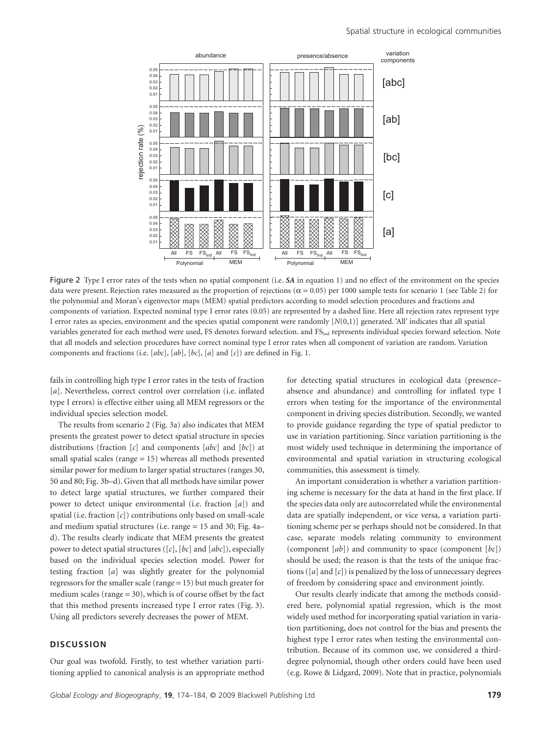

Figure 2 Type I error rates of the tests when no spatial component (i.e. *SA* in equation 1) and no effect of the environment on the species data were present. Rejection rates measured as the proportion of rejections ( $\alpha$  = 0.05) per 1000 sample tests for scenario 1 (see Table 2) for the polynomial and Moran's eigenvector maps (MEM) spatial predictors according to model selection procedures and fractions and components of variation. Expected nominal type I error rates (0.05) are represented by a dashed line. Here all rejection rates represent type I error rates as species, environment and the species spatial component were randomly [*N*(0,1)] generated. 'All' indicates that all spatial variables generated for each method were used, FS denotes forward selection. and FS<sub>Ind</sub> represents individual species forward selection. Note that all models and selection procedures have correct nominal type I error rates when all component of variation are random. Variation components and fractions (i.e. [*abc*], [*ab*], [*bc*], [*a*] and [*c*]) are defined in Fig. 1.

fails in controlling high type I error rates in the tests of fraction [a]. Nevertheless, correct control over correlation (i.e. inflated type I errors) is effective either using all MEM regressors or the individual species selection model.

The results from scenario 2 (Fig. 3a) also indicates that MEM presents the greatest power to detect spatial structure in species distributions (fraction [*c*] and components [*abc*] and [*bc*]) at small spatial scales (range = 15) whereas all methods presented similar power for medium to larger spatial structures (ranges 30, 50 and 80; Fig. 3b–d). Given that all methods have similar power to detect large spatial structures, we further compared their power to detect unique environmental (i.e. fraction [*a*]) and spatial (i.e. fraction [*c*]) contributions only based on small-scale and medium spatial structures (i.e. range = 15 and 30; Fig. 4a– d). The results clearly indicate that MEM presents the greatest power to detect spatial structures ([*c*], [*bc*] and [*abc*]), especially based on the individual species selection model. Power for testing fraction [*a*] was slightly greater for the polynomial regressors for the smaller scale (range = 15) but much greater for medium scales (range  $=$  30), which is of course offset by the fact that this method presents increased type I error rates (Fig. 3). Using all predictors severely decreases the power of MEM.

#### **DISCUSSION**

Our goal was twofold. Firstly, to test whether variation partitioning applied to canonical analysis is an appropriate method for detecting spatial structures in ecological data (presence– absence and abundance) and controlling for inflated type I errors when testing for the importance of the environmental component in driving species distribution. Secondly, we wanted to provide guidance regarding the type of spatial predictor to use in variation partitioning. Since variation partitioning is the most widely used technique in determining the importance of environmental and spatial variation in structuring ecological communities, this assessment is timely.

An important consideration is whether a variation partitioning scheme is necessary for the data at hand in the first place. If the species data only are autocorrelated while the environmental data are spatially independent, or vice versa, a variation partitioning scheme per se perhaps should not be considered. In that case, separate models relating community to environment (component [*ab*]) and community to space (component [*bc*]) should be used; the reason is that the tests of the unique fractions ([*a*] and [*c*]) is penalized by the loss of unnecessary degrees of freedom by considering space and environment jointly.

Our results clearly indicate that among the methods considered here, polynomial spatial regression, which is the most widely used method for incorporating spatial variation in variation partitioning, does not control for the bias and presents the highest type I error rates when testing the environmental contribution. Because of its common use, we considered a thirddegree polynomial, though other orders could have been used (e.g. Rowe & Lidgard, 2009). Note that in practice, polynomials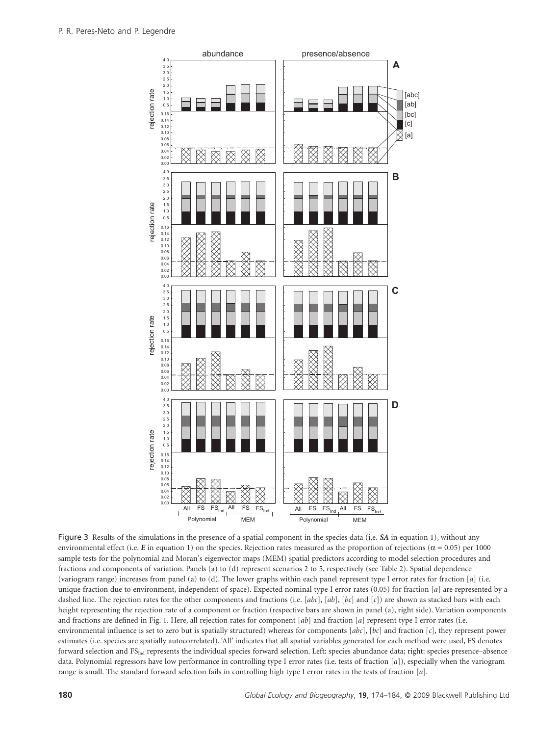

Figure 3 Results of the simulations in the presence of a spatial component in the species data (i.e. *SA* in equation 1), without any environmental effect (i.e.  $E$  in equation 1) on the species. Rejection rates measured as the proportion of rejections ( $\alpha$  = 0.05) per 1000 sample tests for the polynomial and Moran's eigenvector maps (MEM) spatial predictors according to model selection procedures and fractions and components of variation. Panels (a) to (d) represent scenarios 2 to 5, respectively (see Table 2). Spatial dependence (variogram range) increases from panel (a) to (d). The lower graphs within each panel represent type I error rates for fraction [*a*] (i.e. unique fraction due to environment, independent of space). Expected nominal type I error rates (0.05) for fraction [*a*] are represented by a dashed line. The rejection rates for the other components and fractions (i.e. [*abc*], [*ab*], [*bc*] and [*c*]) are shown as stacked bars with each height representing the rejection rate of a component or fraction (respective bars are shown in panel (a), right side). Variation components and fractions are defined in Fig. 1. Here, all rejection rates for component [*ab*] and fraction [*a*] represent type I error rates (i.e. environmental influence is set to zero but is spatially structured) whereas for components [*abc*], [*bc*] and fraction [*c*], they represent power estimates (i.e. species are spatially autocorrelated). 'All' indicates that all spatial variables generated for each method were used, FS denotes forward selection and FS<sub>Ind</sub> represents the individual species forward selection. Left: species abundance data; right: species presence-absence data. Polynomial regressors have low performance in controlling type I error rates (i.e. tests of fraction [*a*]), especially when the variogram range is small. The standard forward selection fails in controlling high type I error rates in the tests of fraction [*a*].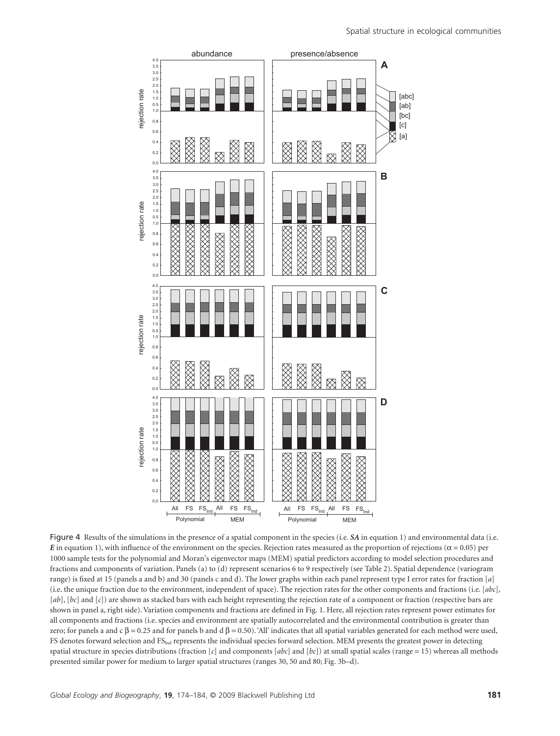

Figure 4 Results of the simulations in the presence of a spatial component in the species (i.e. *SA* in equation 1) and environmental data (i.e. *E* in equation 1), with influence of the environment on the species. Rejection rates measured as the proportion of rejections ( $\alpha$  = 0.05) per 1000 sample tests for the polynomial and Moran's eigenvector maps (MEM) spatial predictors according to model selection procedures and fractions and components of variation. Panels (a) to (d) represent scenarios 6 to 9 respectively (see Table 2). Spatial dependence (variogram range) is fixed at 15 (panels a and b) and 30 (panels c and d). The lower graphs within each panel represent type I error rates for fraction [*a*] (i.e. the unique fraction due to the environment, independent of space). The rejection rates for the other components and fractions (i.e. [*abc*], [ab], [bc] and [c]) are shown as stacked bars with each height representing the rejection rate of a component or fraction (respective bars are shown in panel a, right side). Variation components and fractions are defined in Fig. 1. Here, all rejection rates represent power estimates for all components and fractions (i.e. species and environment are spatially autocorrelated and the environmental contribution is greater than zero; for panels a and c  $\beta$  = 0.25 and for panels b and d  $\beta$  = 0.50). All' indicates that all spatial variables generated for each method were used, FS denotes forward selection and FS<sub>Ind</sub> represents the individual species forward selection. MEM presents the greatest power in detecting spatial structure in species distributions (fraction [*c*] and components [*abc*] and [*bc*]) at small spatial scales (range = 15) whereas all methods presented similar power for medium to larger spatial structures (ranges 30, 50 and 80; Fig. 3b–d).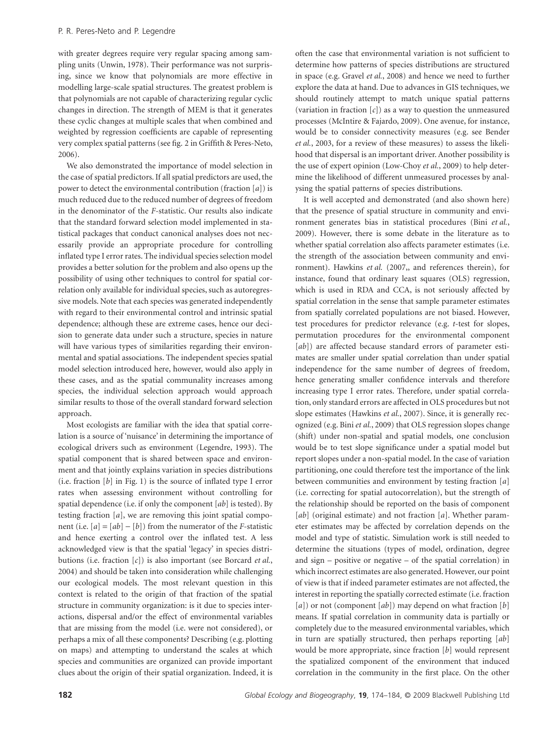with greater degrees require very regular spacing among sampling units (Unwin, 1978). Their performance was not surprising, since we know that polynomials are more effective in modelling large-scale spatial structures. The greatest problem is that polynomials are not capable of characterizing regular cyclic changes in direction. The strength of MEM is that it generates these cyclic changes at multiple scales that when combined and weighted by regression coefficients are capable of representing very complex spatial patterns (see fig. 2 in Griffith & Peres-Neto, 2006).

We also demonstrated the importance of model selection in the case of spatial predictors. If all spatial predictors are used, the power to detect the environmental contribution (fraction [*a*]) is much reduced due to the reduced number of degrees of freedom in the denominator of the *F*-statistic. Our results also indicate that the standard forward selection model implemented in statistical packages that conduct canonical analyses does not necessarily provide an appropriate procedure for controlling inflated type I error rates. The individual species selection model provides a better solution for the problem and also opens up the possibility of using other techniques to control for spatial correlation only available for individual species, such as autoregressive models. Note that each species was generated independently with regard to their environmental control and intrinsic spatial dependence; although these are extreme cases, hence our decision to generate data under such a structure, species in nature will have various types of similarities regarding their environmental and spatial associations. The independent species spatial model selection introduced here, however, would also apply in these cases, and as the spatial communality increases among species, the individual selection approach would approach similar results to those of the overall standard forward selection approach.

Most ecologists are familiar with the idea that spatial correlation is a source of 'nuisance' in determining the importance of ecological drivers such as environment (Legendre, 1993). The spatial component that is shared between space and environment and that jointly explains variation in species distributions (i.e. fraction [*b*] in Fig. 1) is the source of inflated type I error rates when assessing environment without controlling for spatial dependence (i.e. if only the component [*ab*] is tested). By testing fraction [*a*], we are removing this joint spatial component (i.e.  $[a] = [ab] - [b]$ ) from the numerator of the *F*-statistic and hence exerting a control over the inflated test. A less acknowledged view is that the spatial 'legacy' in species distributions (i.e. fraction [*c*]) is also important (see Borcard *et al.*, 2004) and should be taken into consideration while challenging our ecological models. The most relevant question in this context is related to the origin of that fraction of the spatial structure in community organization: is it due to species interactions, dispersal and/or the effect of environmental variables that are missing from the model (i.e. were not considered), or perhaps a mix of all these components? Describing (e.g. plotting on maps) and attempting to understand the scales at which species and communities are organized can provide important clues about the origin of their spatial organization. Indeed, it is often the case that environmental variation is not sufficient to determine how patterns of species distributions are structured in space (e.g. Gravel *et al.*, 2008) and hence we need to further explore the data at hand. Due to advances in GIS techniques, we should routinely attempt to match unique spatial patterns (variation in fraction  $[c]$ ) as a way to question the unmeasured processes (McIntire & Fajardo, 2009). One avenue, for instance, would be to consider connectivity measures (e.g. see Bender *et al.*, 2003, for a review of these measures) to assess the likelihood that dispersal is an important driver. Another possibility is the use of expert opinion (Low-Choy *et al.*, 2009) to help determine the likelihood of different unmeasured processes by analysing the spatial patterns of species distributions.

It is well accepted and demonstrated (and also shown here) that the presence of spatial structure in community and environment generates bias in statistical procedures (Bini *et al.*, 2009). However, there is some debate in the literature as to whether spatial correlation also affects parameter estimates (i.e. the strength of the association between community and environment). Hawkins *et al.* (2007,, and references therein), for instance, found that ordinary least squares (OLS) regression, which is used in RDA and CCA, is not seriously affected by spatial correlation in the sense that sample parameter estimates from spatially correlated populations are not biased. However, test procedures for predictor relevance (e.g. *t*-test for slopes, permutation procedures for the environmental component [*ab*]) are affected because standard errors of parameter estimates are smaller under spatial correlation than under spatial independence for the same number of degrees of freedom, hence generating smaller confidence intervals and therefore increasing type I error rates. Therefore, under spatial correlation, only standard errors are affected in OLS procedures but not slope estimates (Hawkins *et al.*, 2007). Since, it is generally recognized (e.g. Bini *et al.*, 2009) that OLS regression slopes change (shift) under non-spatial and spatial models, one conclusion would be to test slope significance under a spatial model but report slopes under a non-spatial model. In the case of variation partitioning, one could therefore test the importance of the link between communities and environment by testing fraction [*a*] (i.e. correcting for spatial autocorrelation), but the strength of the relationship should be reported on the basis of component [*ab*] (original estimate) and not fraction [*a*]. Whether parameter estimates may be affected by correlation depends on the model and type of statistic. Simulation work is still needed to determine the situations (types of model, ordination, degree and sign – positive or negative – of the spatial correlation) in which incorrect estimates are also generated. However, our point of view is that if indeed parameter estimates are not affected, the interest in reporting the spatially corrected estimate (i.e. fraction [*a*]) or not (component [*ab*]) may depend on what fraction [*b*] means. If spatial correlation in community data is partially or completely due to the measured environmental variables, which in turn are spatially structured, then perhaps reporting [*ab*] would be more appropriate, since fraction [*b*] would represent the spatialized component of the environment that induced correlation in the community in the first place. On the other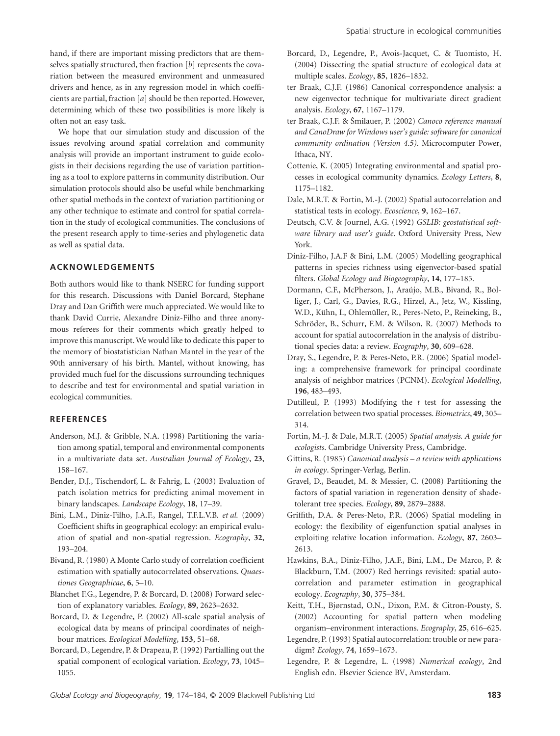We hope that our simulation study and discussion of the issues revolving around spatial correlation and community analysis will provide an important instrument to guide ecologists in their decisions regarding the use of variation partitioning as a tool to explore patterns in community distribution. Our simulation protocols should also be useful while benchmarking other spatial methods in the context of variation partitioning or any other technique to estimate and control for spatial correlation in the study of ecological communities. The conclusions of the present research apply to time-series and phylogenetic data as well as spatial data.

## **ACKNOWLEDGEMENTS**

Both authors would like to thank NSERC for funding support for this research. Discussions with Daniel Borcard, Stephane Dray and Dan Griffith were much appreciated. We would like to thank David Currie, Alexandre Diniz-Filho and three anonymous referees for their comments which greatly helped to improve this manuscript.We would like to dedicate this paper to the memory of biostatistician Nathan Mantel in the year of the 90th anniversary of his birth. Mantel, without knowing, has provided much fuel for the discussions surrounding techniques to describe and test for environmental and spatial variation in ecological communities.

## **REFERENCES**

- Anderson, M.J. & Gribble, N.A. (1998) Partitioning the variation among spatial, temporal and environmental components in a multivariate data set. *Australian Journal of Ecology*, **23**, 158–167.
- Bender, D.J., Tischendorf, L. & Fahrig, L. (2003) Evaluation of patch isolation metrics for predicting animal movement in binary landscapes. *Landscape Ecology*, **18**, 17–39.
- Bini, L.M., Diniz-Filho, J.A.F., Rangel, T.F.L.V.B. *et al.* (2009) Coefficient shifts in geographical ecology: an empirical evaluation of spatial and non-spatial regression. *Ecography*, **32**, 193–204.
- Bivand, R. (1980) A Monte Carlo study of correlation coefficient estimation with spatially autocorrelated observations. *Quaestiones Geographicae*, **6**, 5–10.
- Blanchet F.G., Legendre, P. & Borcard, D. (2008) Forward selection of explanatory variables. *Ecology*, **89**, 2623–2632.
- Borcard, D. & Legendre, P. (2002) All-scale spatial analysis of ecological data by means of principal coordinates of neighbour matrices. *Ecological Modelling*, **153**, 51–68.
- Borcard, D., Legendre, P. & Drapeau, P. (1992) Partialling out the spatial component of ecological variation. *Ecology*, **73**, 1045– 1055.
- Borcard, D., Legendre, P., Avois-Jacquet, C. & Tuomisto, H. (2004) Dissecting the spatial structure of ecological data at multiple scales. *Ecology*, **85**, 1826–1832.
- ter Braak, C.J.F. (1986) Canonical correspondence analysis: a new eigenvector technique for multivariate direct gradient analysis. *Ecology*, **67**, 1167–1179.
- ter Braak, C.J.F. & Šmilauer, P. (2002) *Canoco reference manual and CanoDraw for Windows user's guide: software for canonical community ordination (Version 4.5)*. Microcomputer Power, Ithaca, NY.
- Cottenie, K. (2005) Integrating environmental and spatial processes in ecological community dynamics. *Ecology Letters*, **8**, 1175–1182.
- Dale, M.R.T. & Fortin, M.-J. (2002) Spatial autocorrelation and statistical tests in ecology. *Ecoscience*, **9**, 162–167.
- Deutsch, C.V. & Journel, A.G. (1992) *GSLIB: geostatistical software library and user's guide*. Oxford University Press, New York.
- Diniz-Filho, J.A.F & Bini, L.M. (2005) Modelling geographical patterns in species richness using eigenvector-based spatial filters. *Global Ecology and Biogeography*, **14**, 177–185.
- Dormann, C.F., McPherson, J., Araújo, M.B., Bivand, R., Bolliger, J., Carl, G., Davies, R.G., Hirzel, A., Jetz, W., Kissling, W.D., Kühn, I., Ohlemüller, R., Peres-Neto, P., Reineking, B., Schröder, B., Schurr, F.M. & Wilson, R. (2007) Methods to account for spatial autocorrelation in the analysis of distributional species data: a review. *Ecography*, **30**, 609–628.
- Dray, S., Legendre, P. & Peres-Neto, P.R. (2006) Spatial modeling: a comprehensive framework for principal coordinate analysis of neighbor matrices (PCNM). *Ecological Modelling*, **196**, 483–493.
- Dutilleul, P. (1993) Modifying the *t* test for assessing the correlation between two spatial processes. *Biometrics*, **49**, 305– 314.
- Fortin, M.-J. & Dale, M.R.T. (2005) *Spatial analysis. A guide for ecologists*. Cambridge University Press, Cambridge.
- Gittins, R. (1985) *Canonical analysis a review with applications in ecology*. Springer-Verlag, Berlin.
- Gravel, D., Beaudet, M. & Messier, C. (2008) Partitioning the factors of spatial variation in regeneration density of shadetolerant tree species. *Ecology*, **89**, 2879–2888.
- Griffith, D.A. & Peres-Neto, P.R. (2006) Spatial modeling in ecology: the flexibility of eigenfunction spatial analyses in exploiting relative location information. *Ecology*, **87**, 2603– 2613.
- Hawkins, B.A., Diniz-Filho, J.A.F., Bini, L.M., De Marco, P. & Blackburn, T.M. (2007) Red herrings revisited: spatial autocorrelation and parameter estimation in geographical ecology. *Ecography*, **30**, 375–384.
- Keitt, T.H., Bjørnstad, O.N., Dixon, P.M. & Citron-Pousty, S. (2002) Accounting for spatial pattern when modeling organism–environment interactions. *Ecography*, **25**, 616–625.
- Legendre, P. (1993) Spatial autocorrelation: trouble or new paradigm? *Ecology*, **74**, 1659–1673.
- Legendre, P. & Legendre, L. (1998) *Numerical ecology*, 2nd English edn. Elsevier Science BV, Amsterdam.